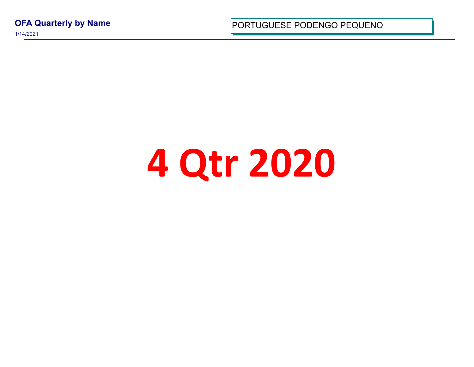**OFA Quarterly by Name**

1/14/2021

PORTUGUESE PODENGO PEQUI

## **4 Qtr 2020**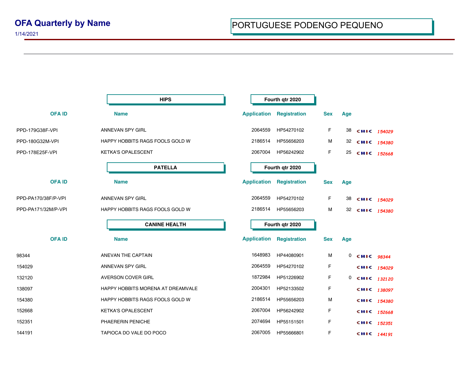1/14/2021

**OFA ID Name Application Registration Sex Age HIPS Fourth qtr 2020** PPD-179G38F-VPI ANNEVAN SPY GIRL 2064559 HP54270102 F 38 **CHIIC** <sub>1</sub>54029 PPD-180G32M-VPI **HAPPY HOBBITS RAGS FOOLS GOLD W** 2186514 HP55656203 M 32 CHIC 154380 PPD-178E25F-VPI KETKA'S OPALESCENT CONTROL 2067004 HP56242902 F 25 **CHIC** 152668 **OFA ID Name Application Registration Sex Age PATELLA Fourth qtr 2020** PPD-PA170/38F/P-VPI ANNEVAN SPY GIRL 2064559 HP54270102 F 38 **CHIIC** <sub>1</sub>54029 PPD-PA171/32M/P-VPI HAPPY HOBBITS RAGS FOOLS GOLD W 2186514 HP55656203 M 32 CHIC 154380 **OFA ID Name Application Registration Sex Age CANINE HEALTH Fourth qtr 2020** 98344 ANEVAN THE CAPTAIN 1648983 HP44080901 M 0 **CHIC** *98344* 154029 ANNEVAN SPY GIRL 2064559 HP54270102 F *<sup>154029</sup>* 132120 **AVERSON COVER GIRL 132120 1872984 HP51226902** F 0 **CHIC** 132120 138097 **HAPPY HOBBITS MORENA AT DREAMVALE** 2004301 HP52133502 F **CHIC** 138097 154380 **HAPPY HOBBITS RAGS FOOLS GOLD W** 2186514 HP55656203 M **CHIC** 154380 152668 KETKA'S OPALESCENT 2067004 HP56242902 F **CHIIC** 152668 152351 PHAERERIN PENICHE 2074694 HP55151501 F *<sup>152351</sup>* 144191 **TAPIOCA DO VALE DO POCO** 2067005 HP55666801 F **CHIC** 144191